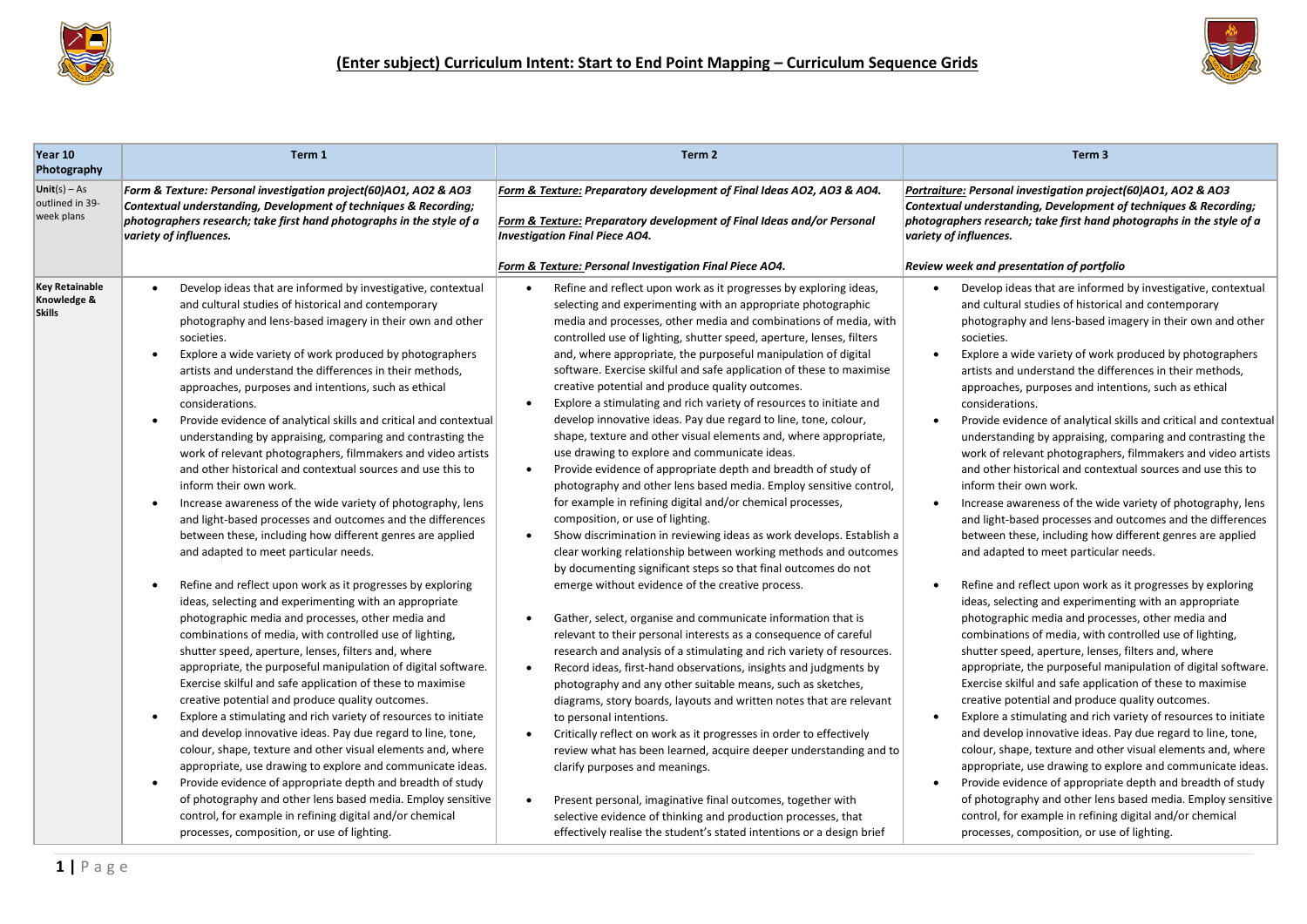



| Year 10<br>Photography                                | Term 1                                                                                                                                                                                                                                                                                                                                                                                                                                                                                                                                                                                                                                                                                                                                                                                                                                                                                                                                                                                                                                                                                                                                                                                                                                                                                                                                                                                                                                                                                                                                                                                                                                                                                                                                                                                                                                                                                                                                                                                                  | Term 2                                                                                                                                                                                                                                                                                                                                                                                                                                                                                                                                                                                                                                                                                                                                                                                                                                                                                                                                                                                                                                                                                                                                                                                                                                                                                                                                                                                                                                                                                                                                                                                                                                                                                                                                                                                                                                                                                                                                                                                                                                                                                                                                   | Term <sub>3</sub>                                                                                                                                                                                                                                                                                                                                                                                                                                                                                                                                                                                                                                                                                                                                                                                                                                                                                                                                                                                                                                                                                                                                                                                                                                                                                                                                                                                                                                                                                                                                                                                                                                                                                                                                                                                                                                                                                                                                                                                       |
|-------------------------------------------------------|---------------------------------------------------------------------------------------------------------------------------------------------------------------------------------------------------------------------------------------------------------------------------------------------------------------------------------------------------------------------------------------------------------------------------------------------------------------------------------------------------------------------------------------------------------------------------------------------------------------------------------------------------------------------------------------------------------------------------------------------------------------------------------------------------------------------------------------------------------------------------------------------------------------------------------------------------------------------------------------------------------------------------------------------------------------------------------------------------------------------------------------------------------------------------------------------------------------------------------------------------------------------------------------------------------------------------------------------------------------------------------------------------------------------------------------------------------------------------------------------------------------------------------------------------------------------------------------------------------------------------------------------------------------------------------------------------------------------------------------------------------------------------------------------------------------------------------------------------------------------------------------------------------------------------------------------------------------------------------------------------------|------------------------------------------------------------------------------------------------------------------------------------------------------------------------------------------------------------------------------------------------------------------------------------------------------------------------------------------------------------------------------------------------------------------------------------------------------------------------------------------------------------------------------------------------------------------------------------------------------------------------------------------------------------------------------------------------------------------------------------------------------------------------------------------------------------------------------------------------------------------------------------------------------------------------------------------------------------------------------------------------------------------------------------------------------------------------------------------------------------------------------------------------------------------------------------------------------------------------------------------------------------------------------------------------------------------------------------------------------------------------------------------------------------------------------------------------------------------------------------------------------------------------------------------------------------------------------------------------------------------------------------------------------------------------------------------------------------------------------------------------------------------------------------------------------------------------------------------------------------------------------------------------------------------------------------------------------------------------------------------------------------------------------------------------------------------------------------------------------------------------------------------|---------------------------------------------------------------------------------------------------------------------------------------------------------------------------------------------------------------------------------------------------------------------------------------------------------------------------------------------------------------------------------------------------------------------------------------------------------------------------------------------------------------------------------------------------------------------------------------------------------------------------------------------------------------------------------------------------------------------------------------------------------------------------------------------------------------------------------------------------------------------------------------------------------------------------------------------------------------------------------------------------------------------------------------------------------------------------------------------------------------------------------------------------------------------------------------------------------------------------------------------------------------------------------------------------------------------------------------------------------------------------------------------------------------------------------------------------------------------------------------------------------------------------------------------------------------------------------------------------------------------------------------------------------------------------------------------------------------------------------------------------------------------------------------------------------------------------------------------------------------------------------------------------------------------------------------------------------------------------------------------------------|
| $Unit(s) - As$<br>outlined in 39-<br>week plans       | Form & Texture: Personal investigation project(60)AO1, AO2 & AO3<br>Contextual understanding, Development of techniques & Recording;<br>photographers research; take first hand photographs in the style of a<br>variety of influences.                                                                                                                                                                                                                                                                                                                                                                                                                                                                                                                                                                                                                                                                                                                                                                                                                                                                                                                                                                                                                                                                                                                                                                                                                                                                                                                                                                                                                                                                                                                                                                                                                                                                                                                                                                 | Form & Texture: Preparatory development of Final Ideas AO2, AO3 & AO4.<br>Form & Texture: Preparatory development of Final Ideas and/or Personal<br><b>Investigation Final Piece AO4.</b><br>Form & Texture: Personal Investigation Final Piece AO4.                                                                                                                                                                                                                                                                                                                                                                                                                                                                                                                                                                                                                                                                                                                                                                                                                                                                                                                                                                                                                                                                                                                                                                                                                                                                                                                                                                                                                                                                                                                                                                                                                                                                                                                                                                                                                                                                                     | Portraiture: Personal investigation project(60)AO1, AO2 & AO3<br>Contextual understanding, Development of techniques & Recording;<br>photographers research; take first hand photographs in the style of a<br>variety of influences.<br>Review week and presentation of portfolio                                                                                                                                                                                                                                                                                                                                                                                                                                                                                                                                                                                                                                                                                                                                                                                                                                                                                                                                                                                                                                                                                                                                                                                                                                                                                                                                                                                                                                                                                                                                                                                                                                                                                                                       |
| <b>Key Retainable</b><br>Knowledge &<br><b>Skills</b> | Develop ideas that are informed by investigative, contextual<br>and cultural studies of historical and contemporary<br>photography and lens-based imagery in their own and other<br>societies.<br>Explore a wide variety of work produced by photographers<br>$\bullet$<br>artists and understand the differences in their methods,<br>approaches, purposes and intentions, such as ethical<br>considerations.<br>Provide evidence of analytical skills and critical and contextual<br>$\bullet$<br>understanding by appraising, comparing and contrasting the<br>work of relevant photographers, filmmakers and video artists<br>and other historical and contextual sources and use this to<br>inform their own work.<br>Increase awareness of the wide variety of photography, lens<br>$\bullet$<br>and light-based processes and outcomes and the differences<br>between these, including how different genres are applied<br>and adapted to meet particular needs.<br>Refine and reflect upon work as it progresses by exploring<br>$\bullet$<br>ideas, selecting and experimenting with an appropriate<br>photographic media and processes, other media and<br>combinations of media, with controlled use of lighting,<br>shutter speed, aperture, lenses, filters and, where<br>appropriate, the purposeful manipulation of digital software.<br>Exercise skilful and safe application of these to maximise<br>creative potential and produce quality outcomes.<br>Explore a stimulating and rich variety of resources to initiate<br>$\bullet$<br>and develop innovative ideas. Pay due regard to line, tone,<br>colour, shape, texture and other visual elements and, where<br>appropriate, use drawing to explore and communicate ideas.<br>Provide evidence of appropriate depth and breadth of study<br>$\bullet$<br>of photography and other lens based media. Employ sensitive<br>control, for example in refining digital and/or chemical<br>processes, composition, or use of lighting. | Refine and reflect upon work as it progresses by exploring ideas,<br>$\bullet$<br>selecting and experimenting with an appropriate photographic<br>media and processes, other media and combinations of media, with<br>controlled use of lighting, shutter speed, aperture, lenses, filters<br>and, where appropriate, the purposeful manipulation of digital<br>software. Exercise skilful and safe application of these to maximise<br>creative potential and produce quality outcomes.<br>Explore a stimulating and rich variety of resources to initiate and<br>develop innovative ideas. Pay due regard to line, tone, colour,<br>shape, texture and other visual elements and, where appropriate,<br>use drawing to explore and communicate ideas.<br>Provide evidence of appropriate depth and breadth of study of<br>photography and other lens based media. Employ sensitive control,<br>for example in refining digital and/or chemical processes,<br>composition, or use of lighting.<br>Show discrimination in reviewing ideas as work develops. Establish a<br>$\bullet$<br>clear working relationship between working methods and outcomes<br>by documenting significant steps so that final outcomes do not<br>emerge without evidence of the creative process.<br>Gather, select, organise and communicate information that is<br>relevant to their personal interests as a consequence of careful<br>research and analysis of a stimulating and rich variety of resources.<br>Record ideas, first-hand observations, insights and judgments by<br>٠<br>photography and any other suitable means, such as sketches,<br>diagrams, story boards, layouts and written notes that are relevant<br>to personal intentions.<br>Critically reflect on work as it progresses in order to effectively<br>$\bullet$<br>review what has been learned, acquire deeper understanding and to<br>clarify purposes and meanings.<br>Present personal, imaginative final outcomes, together with<br>selective evidence of thinking and production processes, that<br>effectively realise the student's stated intentions or a design brief | Develop ideas that are informed by investigative, contextual<br>and cultural studies of historical and contemporary<br>photography and lens-based imagery in their own and other<br>societies.<br>Explore a wide variety of work produced by photographers<br>$\bullet$<br>artists and understand the differences in their methods,<br>approaches, purposes and intentions, such as ethical<br>considerations.<br>Provide evidence of analytical skills and critical and contextual<br>$\bullet$<br>understanding by appraising, comparing and contrasting the<br>work of relevant photographers, filmmakers and video artists<br>and other historical and contextual sources and use this to<br>inform their own work.<br>Increase awareness of the wide variety of photography, lens<br>$\bullet$<br>and light-based processes and outcomes and the differences<br>between these, including how different genres are applied<br>and adapted to meet particular needs.<br>Refine and reflect upon work as it progresses by exploring<br>$\bullet$<br>ideas, selecting and experimenting with an appropriate<br>photographic media and processes, other media and<br>combinations of media, with controlled use of lighting,<br>shutter speed, aperture, lenses, filters and, where<br>appropriate, the purposeful manipulation of digital software.<br>Exercise skilful and safe application of these to maximise<br>creative potential and produce quality outcomes.<br>Explore a stimulating and rich variety of resources to initiate<br>$\bullet$<br>and develop innovative ideas. Pay due regard to line, tone,<br>colour, shape, texture and other visual elements and, where<br>appropriate, use drawing to explore and communicate ideas.<br>Provide evidence of appropriate depth and breadth of study<br>$\bullet$<br>of photography and other lens based media. Employ sensitive<br>control, for example in refining digital and/or chemical<br>processes, composition, or use of lighting. |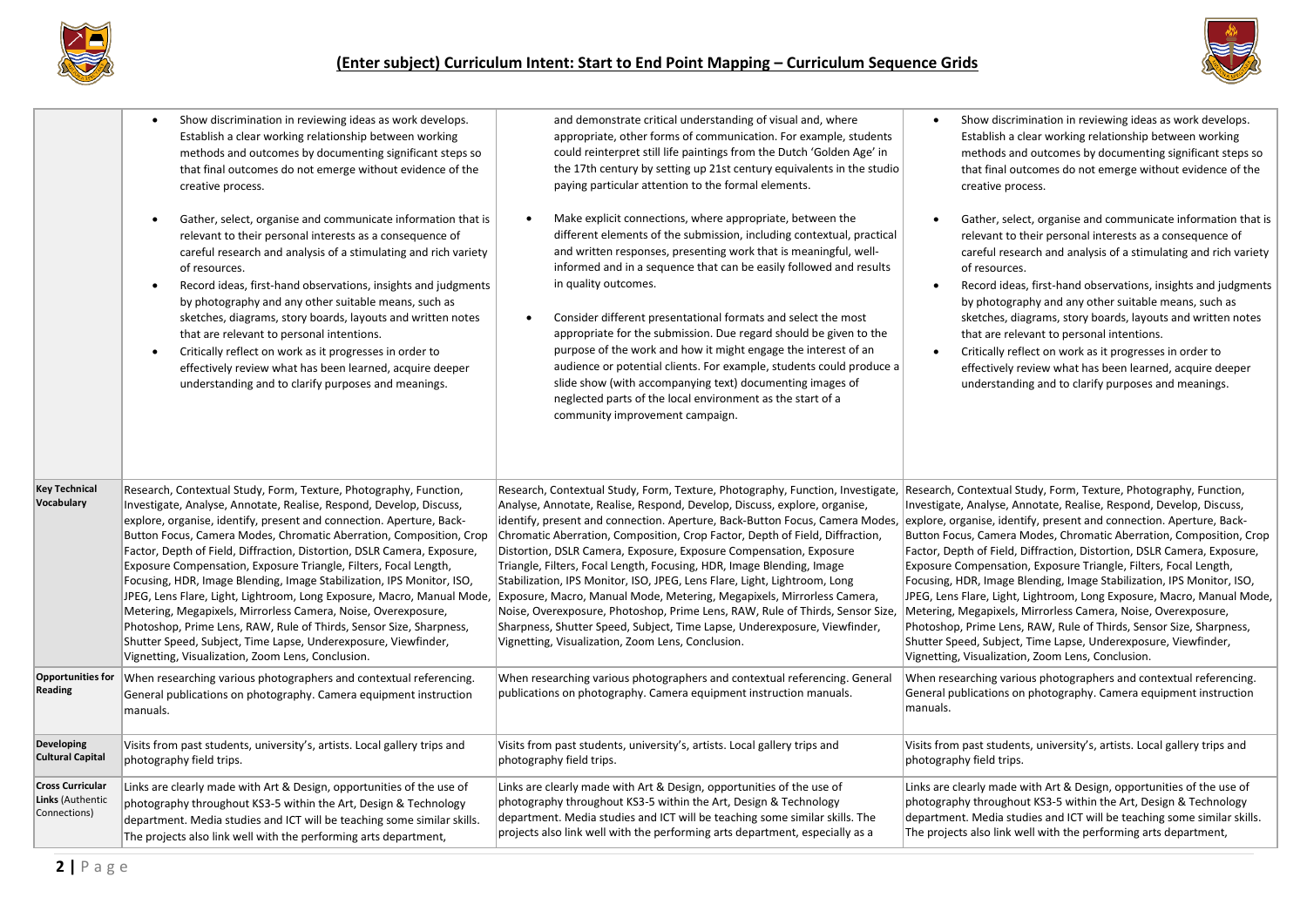



|                                                                    | Show discrimination in reviewing ideas as work develops.<br>$\bullet$<br>Establish a clear working relationship between working<br>methods and outcomes by documenting significant steps so<br>that final outcomes do not emerge without evidence of the<br>creative process.<br>Gather, select, organise and communicate information that is<br>$\bullet$<br>relevant to their personal interests as a consequence of<br>careful research and analysis of a stimulating and rich variety<br>of resources.<br>Record ideas, first-hand observations, insights and judgments<br>$\bullet$<br>by photography and any other suitable means, such as<br>sketches, diagrams, story boards, layouts and written notes<br>that are relevant to personal intentions.<br>Critically reflect on work as it progresses in order to<br>$\bullet$<br>effectively review what has been learned, acquire deeper<br>understanding and to clarify purposes and meanings. | and demonstrate critical understanding of visual and, where<br>appropriate, other forms of communication. For example, students<br>could reinterpret still life paintings from the Dutch 'Golden Age' in<br>the 17th century by setting up 21st century equivalents in the studio<br>paying particular attention to the formal elements.<br>Make explicit connections, where appropriate, between the<br>$\bullet$<br>different elements of the submission, including contextual, practical<br>and written responses, presenting work that is meaningful, well-<br>informed and in a sequence that can be easily followed and results<br>in quality outcomes.<br>Consider different presentational formats and select the most<br>appropriate for the submission. Due regard should be given to the<br>purpose of the work and how it might engage the interest of an<br>audience or potential clients. For example, students could produce a<br>slide show (with accompanying text) documenting images of<br>neglected parts of the local environment as the start of a<br>community improvement campaign. | Show discrimination in reviewing ideas as work develops.<br>Establish a clear working relationship between working<br>methods and outcomes by documenting significant steps so<br>that final outcomes do not emerge without evidence of the<br>creative process.<br>Gather, select, organise and communicate information that is<br>relevant to their personal interests as a consequence of<br>careful research and analysis of a stimulating and rich variety<br>of resources.<br>Record ideas, first-hand observations, insights and judgments<br>by photography and any other suitable means, such as<br>sketches, diagrams, story boards, layouts and written notes<br>that are relevant to personal intentions.<br>Critically reflect on work as it progresses in order to<br>effectively review what has been learned, acquire deeper<br>understanding and to clarify purposes and meanings. |
|--------------------------------------------------------------------|---------------------------------------------------------------------------------------------------------------------------------------------------------------------------------------------------------------------------------------------------------------------------------------------------------------------------------------------------------------------------------------------------------------------------------------------------------------------------------------------------------------------------------------------------------------------------------------------------------------------------------------------------------------------------------------------------------------------------------------------------------------------------------------------------------------------------------------------------------------------------------------------------------------------------------------------------------|-------------------------------------------------------------------------------------------------------------------------------------------------------------------------------------------------------------------------------------------------------------------------------------------------------------------------------------------------------------------------------------------------------------------------------------------------------------------------------------------------------------------------------------------------------------------------------------------------------------------------------------------------------------------------------------------------------------------------------------------------------------------------------------------------------------------------------------------------------------------------------------------------------------------------------------------------------------------------------------------------------------------------------------------------------------------------------------------------------------|-----------------------------------------------------------------------------------------------------------------------------------------------------------------------------------------------------------------------------------------------------------------------------------------------------------------------------------------------------------------------------------------------------------------------------------------------------------------------------------------------------------------------------------------------------------------------------------------------------------------------------------------------------------------------------------------------------------------------------------------------------------------------------------------------------------------------------------------------------------------------------------------------------|
| <b>Key Technical</b><br>Vocabulary                                 | Research, Contextual Study, Form, Texture, Photography, Function,<br>Investigate, Analyse, Annotate, Realise, Respond, Develop, Discuss,<br>explore, organise, identify, present and connection. Aperture, Back-<br>Button Focus, Camera Modes, Chromatic Aberration, Composition, Crop<br>Factor, Depth of Field, Diffraction, Distortion, DSLR Camera, Exposure,<br>Exposure Compensation, Exposure Triangle, Filters, Focal Length,<br>Focusing, HDR, Image Blending, Image Stabilization, IPS Monitor, ISO,<br>JPEG, Lens Flare, Light, Lightroom, Long Exposure, Macro, Manual Mode,<br>Metering, Megapixels, Mirrorless Camera, Noise, Overexposure,<br>Photoshop, Prime Lens, RAW, Rule of Thirds, Sensor Size, Sharpness,<br>Shutter Speed, Subject, Time Lapse, Underexposure, Viewfinder,<br>Vignetting, Visualization, Zoom Lens, Conclusion.                                                                                                | Research, Contextual Study, Form, Texture, Photography, Function, Investigate, Research, Contextual Study, Form, Texture, Photography, Function,<br>Analyse, Annotate, Realise, Respond, Develop, Discuss, explore, organise,<br>identify, present and connection. Aperture, Back-Button Focus, Camera Modes,<br>Chromatic Aberration, Composition, Crop Factor, Depth of Field, Diffraction,<br>Distortion, DSLR Camera, Exposure, Exposure Compensation, Exposure<br>Triangle, Filters, Focal Length, Focusing, HDR, Image Blending, Image<br>Stabilization, IPS Monitor, ISO, JPEG, Lens Flare, Light, Lightroom, Long<br>Exposure, Macro, Manual Mode, Metering, Megapixels, Mirrorless Camera,<br>Noise, Overexposure, Photoshop, Prime Lens, RAW, Rule of Thirds, Sensor Size,<br>Sharpness, Shutter Speed, Subject, Time Lapse, Underexposure, Viewfinder,<br>Vignetting, Visualization, Zoom Lens, Conclusion.                                                                                                                                                                                      | Investigate, Analyse, Annotate, Realise, Respond, Develop, Discuss,<br>explore, organise, identify, present and connection. Aperture, Back-<br>Button Focus, Camera Modes, Chromatic Aberration, Composition, Crop<br>Factor, Depth of Field, Diffraction, Distortion, DSLR Camera, Exposure,<br>Exposure Compensation, Exposure Triangle, Filters, Focal Length,<br>Focusing, HDR, Image Blending, Image Stabilization, IPS Monitor, ISO,<br>JPEG, Lens Flare, Light, Lightroom, Long Exposure, Macro, Manual Mode,<br>Metering, Megapixels, Mirrorless Camera, Noise, Overexposure,<br>Photoshop, Prime Lens, RAW, Rule of Thirds, Sensor Size, Sharpness,<br>Shutter Speed, Subject, Time Lapse, Underexposure, Viewfinder,<br>Vignetting, Visualization, Zoom Lens, Conclusion.                                                                                                                 |
| Opportunities for<br><b>Reading</b>                                | When researching various photographers and contextual referencing.<br>General publications on photography. Camera equipment instruction<br>manuals.                                                                                                                                                                                                                                                                                                                                                                                                                                                                                                                                                                                                                                                                                                                                                                                                     | When researching various photographers and contextual referencing. General<br>publications on photography. Camera equipment instruction manuals.                                                                                                                                                                                                                                                                                                                                                                                                                                                                                                                                                                                                                                                                                                                                                                                                                                                                                                                                                            | When researching various photographers and contextual referencing.<br>General publications on photography. Camera equipment instruction<br>manuals.                                                                                                                                                                                                                                                                                                                                                                                                                                                                                                                                                                                                                                                                                                                                                 |
| <b>Developing</b><br><b>Cultural Capital</b>                       | Visits from past students, university's, artists. Local gallery trips and<br>photography field trips.                                                                                                                                                                                                                                                                                                                                                                                                                                                                                                                                                                                                                                                                                                                                                                                                                                                   | Visits from past students, university's, artists. Local gallery trips and<br>photography field trips.                                                                                                                                                                                                                                                                                                                                                                                                                                                                                                                                                                                                                                                                                                                                                                                                                                                                                                                                                                                                       | Visits from past students, university's, artists. Local gallery trips and<br>photography field trips.                                                                                                                                                                                                                                                                                                                                                                                                                                                                                                                                                                                                                                                                                                                                                                                               |
| <b>Cross Curricular</b><br><b>Links (Authentic</b><br>Connections) | Links are clearly made with Art & Design, opportunities of the use of<br>photography throughout KS3-5 within the Art, Design & Technology<br>department. Media studies and ICT will be teaching some similar skills.<br>The projects also link well with the performing arts department,                                                                                                                                                                                                                                                                                                                                                                                                                                                                                                                                                                                                                                                                | Links are clearly made with Art & Design, opportunities of the use of<br>photography throughout KS3-5 within the Art, Design & Technology<br>department. Media studies and ICT will be teaching some similar skills. The<br>projects also link well with the performing arts department, especially as a                                                                                                                                                                                                                                                                                                                                                                                                                                                                                                                                                                                                                                                                                                                                                                                                    | Links are clearly made with Art & Design, opportunities of the use of<br>photography throughout KS3-5 within the Art, Design & Technology<br>department. Media studies and ICT will be teaching some similar skills.<br>The projects also link well with the performing arts department,                                                                                                                                                                                                                                                                                                                                                                                                                                                                                                                                                                                                            |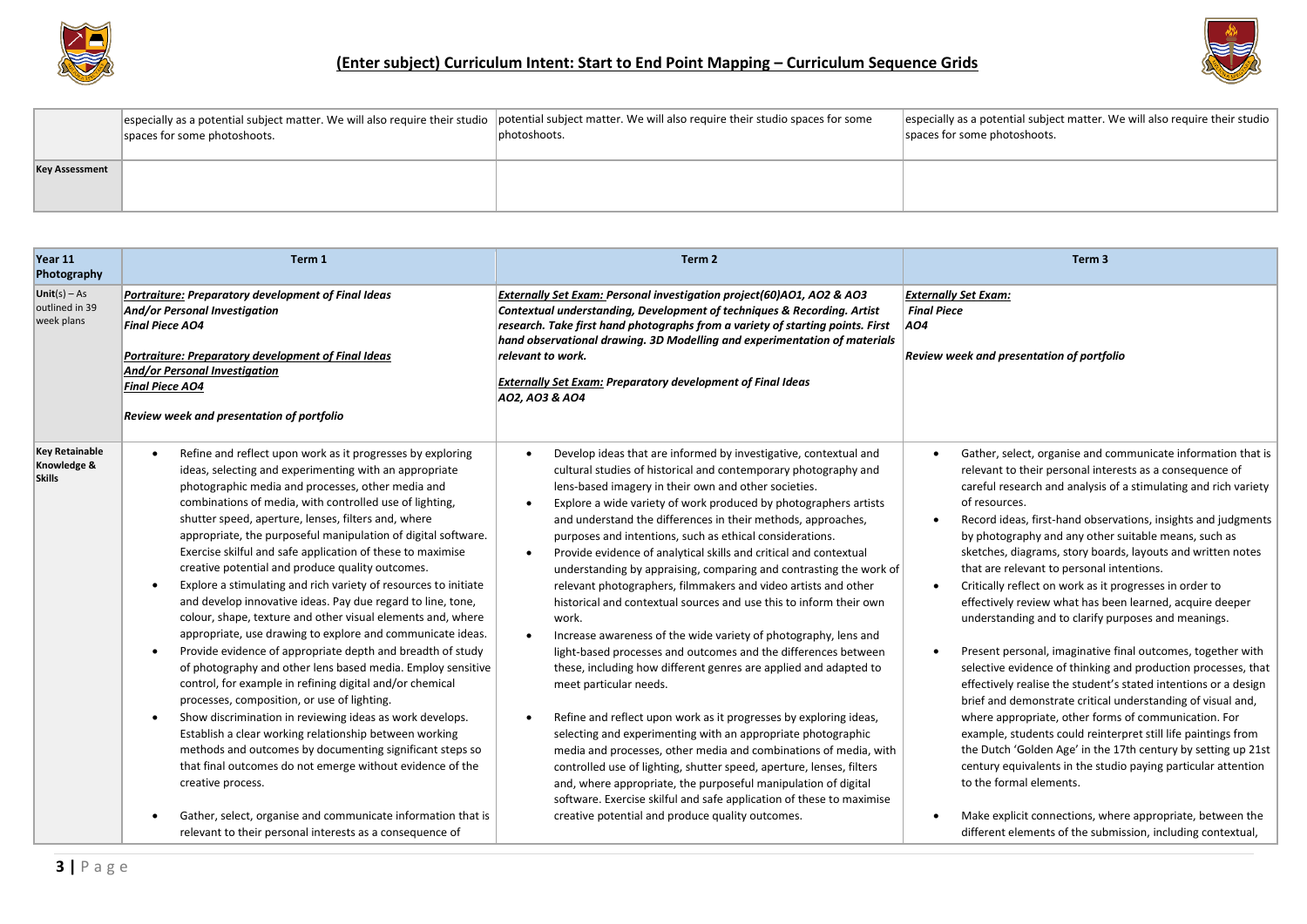



|                       | spaces for some photoshoots. | especially as a potential subject matter. We will also require their studio potential subject matter. We will also require their studio spaces for some<br>photoshoots. | especially as a potential subject matter. We will also require their studio<br>spaces for some photoshoots. |
|-----------------------|------------------------------|-------------------------------------------------------------------------------------------------------------------------------------------------------------------------|-------------------------------------------------------------------------------------------------------------|
| <b>Key Assessment</b> |                              |                                                                                                                                                                         |                                                                                                             |

| Year 11<br>Photography                                | Term 1                                                                                                                                                                                                                                                                                                                                                                                                                                                                                                                                                                                                                                                                                                                                                                                                                                                                                                                                                                                                                                                                                                                                                                                                                                                                                                                                              | Term 2                                                                                                                                                                                                                                                                                                                                                                                                                                                                                                                                                                                                                                                                                                                                                                                                                                                                                                                                                                                                                                                                                                                                                                                                                                                                                                                                                                                                    | Term <sub>3</sub>                                                                                                                                                                                                                                                                                                                                                                                                                                                                                                                                                                                                                                                                                                                                                                                                                                                                                                                                                                                                                                                                                                                                                                                                                                                                                                     |
|-------------------------------------------------------|-----------------------------------------------------------------------------------------------------------------------------------------------------------------------------------------------------------------------------------------------------------------------------------------------------------------------------------------------------------------------------------------------------------------------------------------------------------------------------------------------------------------------------------------------------------------------------------------------------------------------------------------------------------------------------------------------------------------------------------------------------------------------------------------------------------------------------------------------------------------------------------------------------------------------------------------------------------------------------------------------------------------------------------------------------------------------------------------------------------------------------------------------------------------------------------------------------------------------------------------------------------------------------------------------------------------------------------------------------|-----------------------------------------------------------------------------------------------------------------------------------------------------------------------------------------------------------------------------------------------------------------------------------------------------------------------------------------------------------------------------------------------------------------------------------------------------------------------------------------------------------------------------------------------------------------------------------------------------------------------------------------------------------------------------------------------------------------------------------------------------------------------------------------------------------------------------------------------------------------------------------------------------------------------------------------------------------------------------------------------------------------------------------------------------------------------------------------------------------------------------------------------------------------------------------------------------------------------------------------------------------------------------------------------------------------------------------------------------------------------------------------------------------|-----------------------------------------------------------------------------------------------------------------------------------------------------------------------------------------------------------------------------------------------------------------------------------------------------------------------------------------------------------------------------------------------------------------------------------------------------------------------------------------------------------------------------------------------------------------------------------------------------------------------------------------------------------------------------------------------------------------------------------------------------------------------------------------------------------------------------------------------------------------------------------------------------------------------------------------------------------------------------------------------------------------------------------------------------------------------------------------------------------------------------------------------------------------------------------------------------------------------------------------------------------------------------------------------------------------------|
| $Unit(s) - As$<br>outlined in 39<br>week plans        | Portraiture: Preparatory development of Final Ideas<br>And/or Personal Investigation<br><b>Final Piece AO4</b><br>Portraiture: Preparatory development of Final Ideas<br>And/or Personal Investigation<br><b>Final Piece AO4</b><br><b>Review week and presentation of portfolio</b>                                                                                                                                                                                                                                                                                                                                                                                                                                                                                                                                                                                                                                                                                                                                                                                                                                                                                                                                                                                                                                                                | Externally Set Exam: Personal investigation project(60)AO1, AO2 & AO3<br>Contextual understanding, Development of techniques & Recording. Artist<br>research. Take first hand photographs from a variety of starting points. First<br>hand observational drawing. 3D Modelling and experimentation of materials<br>relevant to work.<br><b>Externally Set Exam: Preparatory development of Final Ideas</b><br>A02, A03 & A04                                                                                                                                                                                                                                                                                                                                                                                                                                                                                                                                                                                                                                                                                                                                                                                                                                                                                                                                                                              | <b>Externally Set Exam:</b><br><b>Final Piece</b><br>AO4<br>Review week and presentation of portfolio                                                                                                                                                                                                                                                                                                                                                                                                                                                                                                                                                                                                                                                                                                                                                                                                                                                                                                                                                                                                                                                                                                                                                                                                                 |
| <b>Key Retainable</b><br>Knowledge &<br><b>Skills</b> | Refine and reflect upon work as it progresses by exploring<br>ideas, selecting and experimenting with an appropriate<br>photographic media and processes, other media and<br>combinations of media, with controlled use of lighting,<br>shutter speed, aperture, lenses, filters and, where<br>appropriate, the purposeful manipulation of digital software.<br>Exercise skilful and safe application of these to maximise<br>creative potential and produce quality outcomes.<br>Explore a stimulating and rich variety of resources to initiate<br>and develop innovative ideas. Pay due regard to line, tone,<br>colour, shape, texture and other visual elements and, where<br>appropriate, use drawing to explore and communicate ideas.<br>Provide evidence of appropriate depth and breadth of study<br>$\bullet$<br>of photography and other lens based media. Employ sensitive<br>control, for example in refining digital and/or chemical<br>processes, composition, or use of lighting.<br>Show discrimination in reviewing ideas as work develops.<br>$\bullet$<br>Establish a clear working relationship between working<br>methods and outcomes by documenting significant steps so<br>that final outcomes do not emerge without evidence of the<br>creative process.<br>Gather, select, organise and communicate information that is | Develop ideas that are informed by investigative, contextual and<br>cultural studies of historical and contemporary photography and<br>lens-based imagery in their own and other societies.<br>Explore a wide variety of work produced by photographers artists<br>and understand the differences in their methods, approaches,<br>purposes and intentions, such as ethical considerations.<br>Provide evidence of analytical skills and critical and contextual<br>understanding by appraising, comparing and contrasting the work of<br>relevant photographers, filmmakers and video artists and other<br>historical and contextual sources and use this to inform their own<br>work.<br>Increase awareness of the wide variety of photography, lens and<br>light-based processes and outcomes and the differences between<br>these, including how different genres are applied and adapted to<br>meet particular needs.<br>Refine and reflect upon work as it progresses by exploring ideas,<br>selecting and experimenting with an appropriate photographic<br>media and processes, other media and combinations of media, with<br>controlled use of lighting, shutter speed, aperture, lenses, filters<br>and, where appropriate, the purposeful manipulation of digital<br>software. Exercise skilful and safe application of these to maximise<br>creative potential and produce quality outcomes. | Gather, select, organise and communicate information that is<br>$\bullet$<br>relevant to their personal interests as a consequence of<br>careful research and analysis of a stimulating and rich variety<br>of resources.<br>Record ideas, first-hand observations, insights and judgments<br>$\bullet$<br>by photography and any other suitable means, such as<br>sketches, diagrams, story boards, layouts and written notes<br>that are relevant to personal intentions.<br>Critically reflect on work as it progresses in order to<br>$\bullet$<br>effectively review what has been learned, acquire deeper<br>understanding and to clarify purposes and meanings.<br>Present personal, imaginative final outcomes, together with<br>$\bullet$<br>selective evidence of thinking and production processes, that<br>effectively realise the student's stated intentions or a design<br>brief and demonstrate critical understanding of visual and,<br>where appropriate, other forms of communication. For<br>example, students could reinterpret still life paintings from<br>the Dutch 'Golden Age' in the 17th century by setting up 21st<br>century equivalents in the studio paying particular attention<br>to the formal elements.<br>Make explicit connections, where appropriate, between the<br>$\bullet$ |
|                                                       | relevant to their personal interests as a consequence of                                                                                                                                                                                                                                                                                                                                                                                                                                                                                                                                                                                                                                                                                                                                                                                                                                                                                                                                                                                                                                                                                                                                                                                                                                                                                            |                                                                                                                                                                                                                                                                                                                                                                                                                                                                                                                                                                                                                                                                                                                                                                                                                                                                                                                                                                                                                                                                                                                                                                                                                                                                                                                                                                                                           | different elements of the submission, including contextual,                                                                                                                                                                                                                                                                                                                                                                                                                                                                                                                                                                                                                                                                                                                                                                                                                                                                                                                                                                                                                                                                                                                                                                                                                                                           |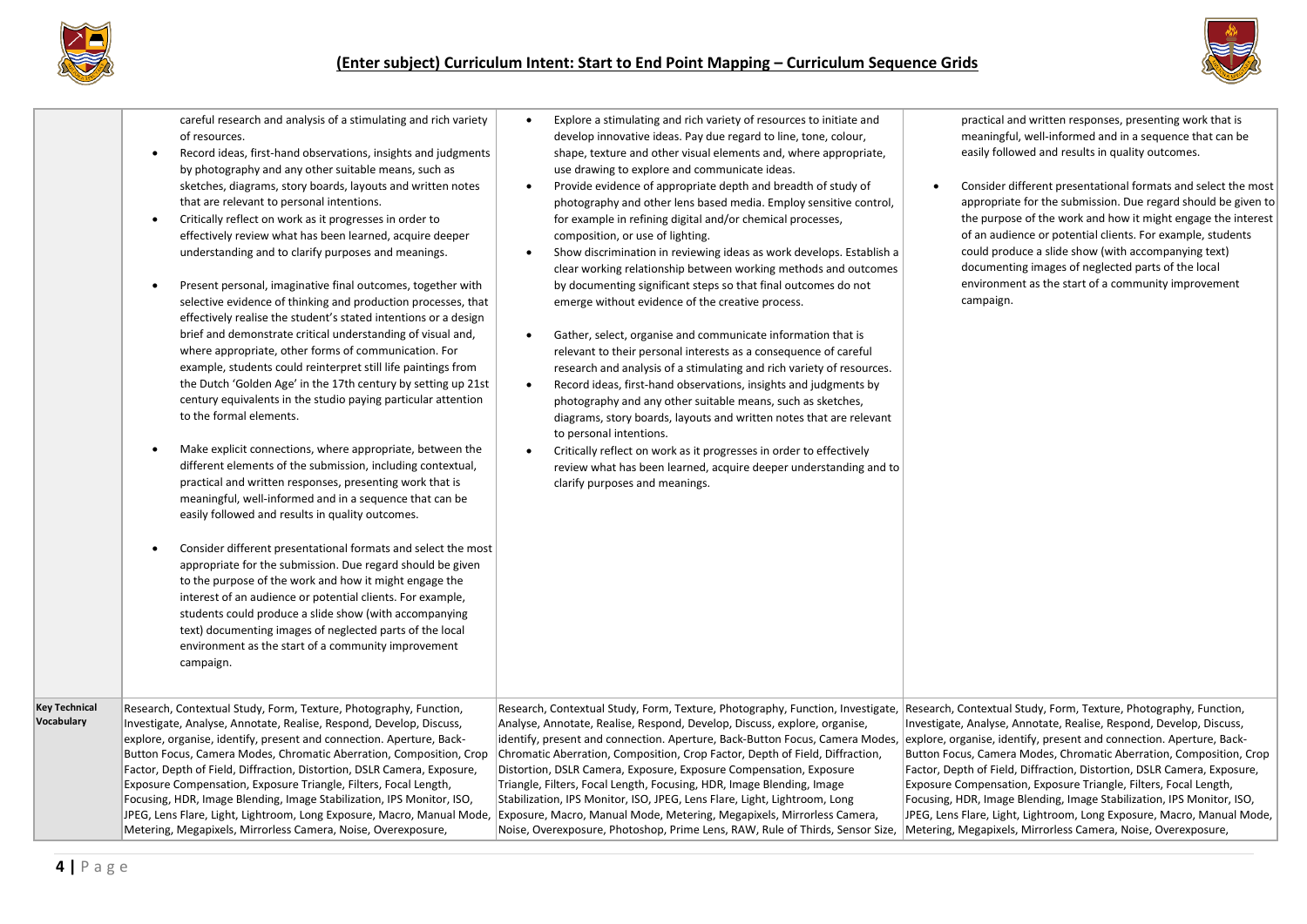



careful research and analysis of a stimulating and rich variety of resources.

- Record ideas, first-hand observations, insights and judgments by photography and any other suitable means, such as sketches, diagrams, story boards, layouts and written notes that are relevant to personal intentions.
- Critically reflect on work as it progresses in order to effectively review what has been learned, acquire deeper understanding and to clarify purposes and meanings.
- Present personal, imaginative final outcomes, together with selective evidence of thinking and production processes, that effectively realise the student's stated intentions or a design brief and demonstrate critical understanding of visual and, where appropriate, other forms of communication. For example, students could reinterpret still life paintings from the Dutch 'Golden Age' in the 17th century by setting up 21st century equivalents in the studio paying particular attention to the formal elements.
- Make explicit connections, where appropriate, between the different elements of the submission, including contextual, practical and written responses, presenting work that is meaningful, well-informed and in a sequence that can be easily followed and results in quality outcomes.
- Consider different presentational formats and select the most appropriate for the submission. Due regard should be given to the purpose of the work and how it might engage the interest of an audience or potential clients. For example, students could produce a slide show (with accompanying text) documenting images of neglected parts of the local environment as the start of a community improvement
- Explore a stimulating and rich variety of resources to initiate and develop innovative ideas. Pay due regard to line, tone, colour, shape, texture and other visual elements and, where appropriate, use drawing to explore and communicate ideas.
- Provide evidence of appropriate depth and breadth of study of photography and other lens based media. Employ sensitive control, for example in refining digital and/or chemical processes, composition, or use of lighting.
- Show discrimination in reviewing ideas as work develops. Establish a clear working relationship between working methods and outcomes by documenting significant steps so that final outcomes do not emerge without evidence of the creative process.
- Gather, select, organise and communicate information that is relevant to their personal interests as a consequence of careful research and analysis of a stimulating and rich variety of resources.
- Record ideas, first-hand observations, insights and judgments by photography and any other suitable means, such as sketches, diagrams, story boards, layouts and written notes that are relevant to personal intentions.
- Critically reflect on work as it progresses in order to effectively review what has been learned, acquire deeper understanding and to clarify purposes and meanings.

practical and written responses, presenting work that is meaningful, well-informed and in a sequence that can be easily followed and results in quality outcomes.

• Consider different presentational formats and select the most appropriate for the submission. Due regard should be given to the purpose of the work and how it might engage the interest of an audience or potential clients. For example, students could produce a slide show (with accompanying text) documenting images of neglected parts of the local environment as the start of a community improvement campaign.

|                                    | students could produce a slide show (with accompanying<br>text) documenting images of neglected parts of the local<br>environment as the start of a community improvement<br>campaign.                                                                                                                                                                                                                                                                                                                                                                                           |                                                                                                                                                                                                                                                                                                                                                                                                                                                                                                                                                                                                                                                                                                                                                                                                                                                                  |                                                                                                                                                                                                                                                                                                                                                                                                                                                                                                                                                                                    |
|------------------------------------|----------------------------------------------------------------------------------------------------------------------------------------------------------------------------------------------------------------------------------------------------------------------------------------------------------------------------------------------------------------------------------------------------------------------------------------------------------------------------------------------------------------------------------------------------------------------------------|------------------------------------------------------------------------------------------------------------------------------------------------------------------------------------------------------------------------------------------------------------------------------------------------------------------------------------------------------------------------------------------------------------------------------------------------------------------------------------------------------------------------------------------------------------------------------------------------------------------------------------------------------------------------------------------------------------------------------------------------------------------------------------------------------------------------------------------------------------------|------------------------------------------------------------------------------------------------------------------------------------------------------------------------------------------------------------------------------------------------------------------------------------------------------------------------------------------------------------------------------------------------------------------------------------------------------------------------------------------------------------------------------------------------------------------------------------|
| <b>Key Technical</b><br>Vocabulary | Research, Contextual Study, Form, Texture, Photography, Function,<br>Investigate, Analyse, Annotate, Realise, Respond, Develop, Discuss,<br>explore, organise, identify, present and connection. Aperture, Back-<br>Button Focus, Camera Modes, Chromatic Aberration, Composition, Crop<br>Factor, Depth of Field, Diffraction, Distortion, DSLR Camera, Exposure,<br>Exposure Compensation, Exposure Triangle, Filters, Focal Length,<br>Focusing, HDR, Image Blending, Image Stabilization, IPS Monitor, ISO,<br>Metering, Megapixels, Mirrorless Camera, Noise, Overexposure, | Research, Contextual Study, Form, Texture, Photography, Function, Investigate,<br>Analyse, Annotate, Realise, Respond, Develop, Discuss, explore, organise,<br>identify, present and connection. Aperture, Back-Button Focus, Camera Modes,  explore, organise, identify, present and connection. Aperture, Back-<br>Chromatic Aberration, Composition, Crop Factor, Depth of Field, Diffraction,<br>Distortion, DSLR Camera, Exposure, Exposure Compensation, Exposure<br>Triangle, Filters, Focal Length, Focusing, HDR, Image Blending, Image<br>Stabilization, IPS Monitor, ISO, JPEG, Lens Flare, Light, Lightroom, Long<br>JPEG, Lens Flare, Light, Lightroom, Long Exposure, Macro, Manual Mode,  Exposure, Macro, Manual Mode, Metering, Megapixels, Mirrorless Camera,<br>Noise, Overexposure, Photoshop, Prime Lens, RAW, Rule of Thirds, Sensor Size, | Research, Contextual Study, Form, Texture, Photography, Function,<br>Investigate, Analyse, Annotate, Realise, Respond, Develop, Discuss,<br>Button Focus, Camera Modes, Chromatic Aberration, Composition, Crop<br>Factor, Depth of Field, Diffraction, Distortion, DSLR Camera, Exposure,<br>Exposure Compensation, Exposure Triangle, Filters, Focal Length,<br>Focusing, HDR, Image Blending, Image Stabilization, IPS Monitor, ISO,<br>JPEG, Lens Flare, Light, Lightroom, Long Exposure, Macro, Manual Mode,<br>Metering, Megapixels, Mirrorless Camera, Noise, Overexposure, |